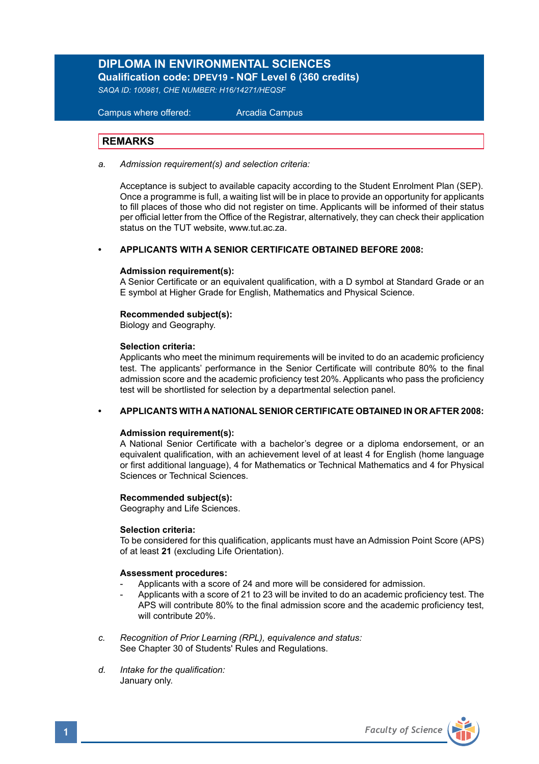## **DIPLOMA IN ENVIRONMENTAL SCIENCES Qualification code: DPEV19 - NQF Level 6 (360 credits)**

*SAQA ID: 100981, CHE NUMBER: H16/14271/HEQSF*

 Campus where offered: Arcadia Campus

## **REMARKS**

*a. Admission requirement(s) and selection criteria:* 

 Acceptance is subject to available capacity according to the Student Enrolment Plan (SEP). Once a programme is full, a waiting list will be in place to provide an opportunity for applicants to fill places of those who did not register on time. Applicants will be informed of their status per official letter from the Office of the Registrar, alternatively, they can check their application status on the TUT website, www.tut.ac.za.

## **• APPLICANTS WITH A SENIOR CERTIFICATE OBTAINED BEFORE 2008:**

### **Admission requirement(s):**

A Senior Certificate or an equivalent qualification, with a D symbol at Standard Grade or an E symbol at Higher Grade for English, Mathematics and Physical Science.

### **Recommended subject(s):**

Biology and Geography.

#### **Selection criteria:**

Applicants who meet the minimum requirements will be invited to do an academic proficiency test. The applicants' performance in the Senior Certificate will contribute 80% to the final admission score and the academic proficiency test 20%. Applicants who pass the proficiency test will be shortlisted for selection by a departmental selection panel.

## **• APPLICANTS WITH A NATIONAL SENIOR CERTIFICATE OBTAINED IN OR AFTER 2008:**

### **Admission requirement(s):**

A National Senior Certificate with a bachelor's degree or a diploma endorsement, or an equivalent qualification, with an achievement level of at least 4 for English (home language or first additional language), 4 for Mathematics or Technical Mathematics and 4 for Physical Sciences or Technical Sciences.

## **Recommended subject(s):**

Geography and Life Sciences.

## **Selection criteria:**

To be considered for this qualification, applicants must have an Admission Point Score (APS) of at least **21** (excluding Life Orientation).

### **Assessment procedures:**

- Applicants with a score of 24 and more will be considered for admission.
- Applicants with a score of 21 to 23 will be invited to do an academic proficiency test. The APS will contribute 80% to the final admission score and the academic proficiency test, will contribute 20%.
- *c. Recognition of Prior Learning (RPL), equivalence and status:* See Chapter 30 of Students' Rules and Regulations.
- *d. Intake for the qualification:* January only.

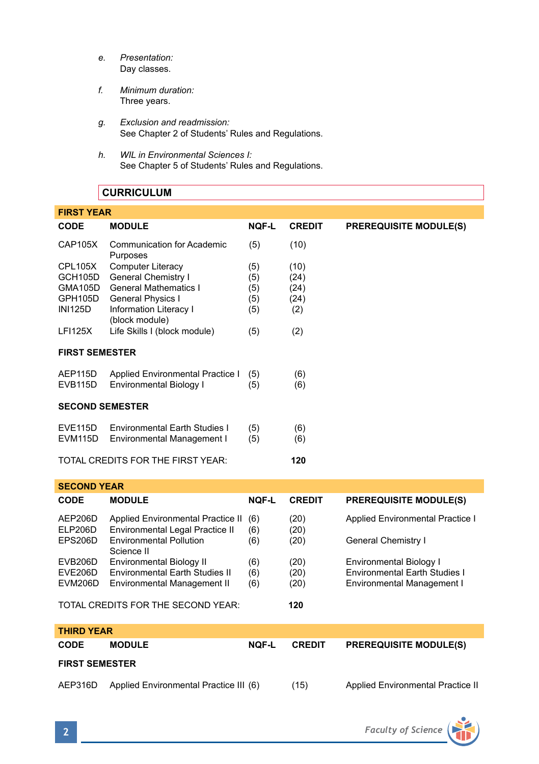- *e. Presentation:* Day classes.
- *f. Minimum duration:* Three years.
- *g. Exclusion and readmission:* See Chapter 2 of Students' Rules and Regulations.
- *h. WIL in Environmental Sciences I:* See Chapter 5 of Students' Rules and Regulations.

## **CURRICULUM**

| <b>FIRST YEAR</b>                        |                                          |              |               |                               |
|------------------------------------------|------------------------------------------|--------------|---------------|-------------------------------|
| CODE                                     | <b>MODULE</b>                            | <b>NQF-L</b> | <b>CREDIT</b> | <b>PREREQUISITE MODULE(S)</b> |
| CAP105X                                  | Communication for Academic<br>Purposes   | (5)          | (10)          |                               |
| CPL105X                                  | Computer Literacy                        | (5)          | (10)          |                               |
| GCH105D                                  | General Chemistry I                      | (5)          | (24)          |                               |
| <b>GMA105D</b>                           | <b>General Mathematics I</b>             | (5)          | (24)          |                               |
| GPH105D                                  | General Physics I                        | (5)          | (24)          |                               |
| <b>INI125D</b>                           | Information Literacy I<br>(block module) | (5)          | (2)           |                               |
| <b>LFI125X</b>                           | Life Skills I (block module)             | (5)          | (2)           |                               |
| <b>FIRST SEMESTER</b>                    |                                          |              |               |                               |
| AEP115D                                  | Applied Environmental Practice I         | (5)          | (6)           |                               |
| <b>EVB115D</b>                           | Environmental Biology I                  | (5)          | (6)           |                               |
| <b>SECOND SEMESTER</b>                   |                                          |              |               |                               |
| <b>EVE115D</b>                           | Environmental Earth Studies I            | (5)          | (6)           |                               |
| EVM <sub>115</sub> D                     | Environmental Management I               | (5)          | (6)           |                               |
| TOTAL CREDITS FOR THE FIRST YEAR:<br>120 |                                          |              |               |                               |

| <b>SECOND YEAR</b> |                                                                      |              |               |                                      |  |  |
|--------------------|----------------------------------------------------------------------|--------------|---------------|--------------------------------------|--|--|
| <b>CODE</b>        | <b>MODULE</b>                                                        | <b>NOF-L</b> | <b>CREDIT</b> | <b>PREREQUISITE MODULE(S)</b>        |  |  |
| AEP206D<br>ELP206D | Applied Environmental Practice II<br>Environmental Legal Practice II | (6)<br>(6)   | (20)<br>(20)  | Applied Environmental Practice I     |  |  |
| EPS206D            | <b>Environmental Pollution</b><br>Science II                         | (6)          | (20)          | General Chemistry I                  |  |  |
| EVB206D            | Environmental Biology II                                             | (6)          | (20)          | Environmental Biology I              |  |  |
| EVE206D            | Environmental Earth Studies II                                       | (6)          | (20)          | <b>Environmental Earth Studies I</b> |  |  |
| EVM206D            | Environmental Management II                                          | (6)          | (20)          | Environmental Management I           |  |  |
|                    | TOTAL CREDITS FOR THE SECOND YEAR:                                   |              | 120           |                                      |  |  |

| <b>THIRD YEAR</b>     |                                        |              |               |                                   |  |  |
|-----------------------|----------------------------------------|--------------|---------------|-----------------------------------|--|--|
| <b>CODE</b>           | <b>MODULE</b>                          | <b>NOF-L</b> | <b>CREDIT</b> | <b>PREREQUISITE MODULE(S)</b>     |  |  |
| <b>FIRST SEMESTER</b> |                                        |              |               |                                   |  |  |
| AEP316D               | Applied Environmental Practice III (6) |              | (15)          | Applied Environmental Practice II |  |  |

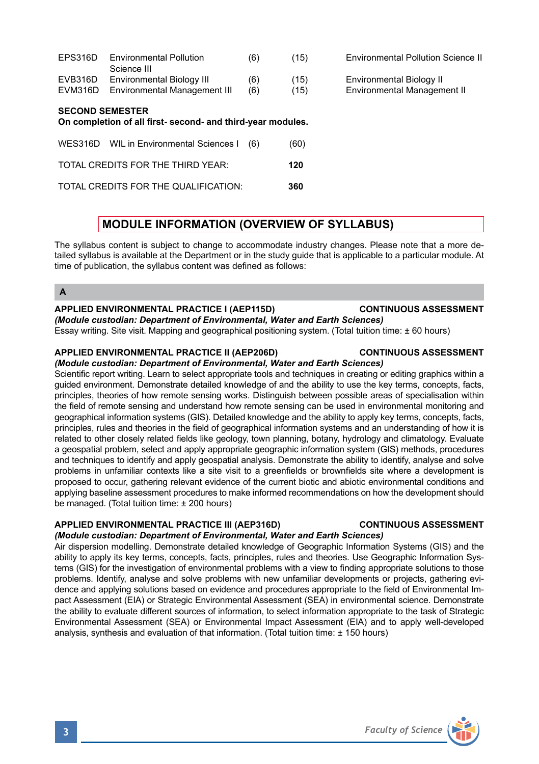| <b>SECOND SEMESTER</b><br>On completion of all first, concept onal third user medulas |                                                           |            |              |                                                         |  |
|---------------------------------------------------------------------------------------|-----------------------------------------------------------|------------|--------------|---------------------------------------------------------|--|
| EVB316D<br>EVM316D                                                                    | Environmental Biology III<br>Environmental Management III | (6)<br>(6) | (15)<br>(15) | Environmental Biology II<br>Environmental Management II |  |
|                                                                                       | Science III                                               |            |              |                                                         |  |

EPS316D Environmental Pollution (6) (15) Environmental Pollution Science II

# **On completion of all first- second- and third-year modules.**

| WES316D WIL in Environmental Sciences I (6) | (60) |
|---------------------------------------------|------|
| TOTAL CREDITS FOR THE THIRD YEAR:           | 120  |
| TOTAL CREDITS FOR THE QUALIFICATION:        | 360  |

## **MODULE INFORMATION (OVERVIEW OF SYLLABUS)**

The syllabus content is subject to change to accommodate industry changes. Please note that a more detailed syllabus is available at the Department or in the study guide that is applicable to a particular module. At time of publication, the syllabus content was defined as follows:

## **A**

## **APPLIED ENVIRONMENTAL PRACTICE I (AEP115D) CONTINUOUS ASSESSMENT**

## *(Module custodian: Department of Environmental, Water and Earth Sciences)*

Essay writing. Site visit. Mapping and geographical positioning system. (Total tuition time: ± 60 hours)

## **APPLIED ENVIRONMENTAL PRACTICE II (AEP206D) CONTINUOUS ASSESSMENT**

## *(Module custodian: Department of Environmental, Water and Earth Sciences)* Scientific report writing. Learn to select appropriate tools and techniques in creating or editing graphics within a

guided environment. Demonstrate detailed knowledge of and the ability to use the key terms, concepts, facts, principles, theories of how remote sensing works. Distinguish between possible areas of specialisation within the field of remote sensing and understand how remote sensing can be used in environmental monitoring and geographical information systems (GIS). Detailed knowledge and the ability to apply key terms, concepts, facts, principles, rules and theories in the field of geographical information systems and an understanding of how it is related to other closely related fields like geology, town planning, botany, hydrology and climatology. Evaluate a geospatial problem, select and apply appropriate geographic information system (GIS) methods, procedures and techniques to identify and apply geospatial analysis. Demonstrate the ability to identify, analyse and solve problems in unfamiliar contexts like a site visit to a greenfields or brownfields site where a development is proposed to occur, gathering relevant evidence of the current biotic and abiotic environmental conditions and applying baseline assessment procedures to make informed recommendations on how the development should be managed. (Total tuition time: ± 200 hours)

## **APPLIED ENVIRONMENTAL PRACTICE III (AEP316D) CONTINUOUS ASSESSMENT**

*(Module custodian: Department of Environmental, Water and Earth Sciences)* Air dispersion modelling. Demonstrate detailed knowledge of Geographic Information Systems (GIS) and the ability to apply its key terms, concepts, facts, principles, rules and theories. Use Geographic Information Systems (GIS) for the investigation of environmental problems with a view to finding appropriate solutions to those problems. Identify, analyse and solve problems with new unfamiliar developments or projects, gathering evidence and applying solutions based on evidence and procedures appropriate to the field of Environmental Impact Assessment (EIA) or Strategic Environmental Assessment (SEA) in environmental science. Demonstrate the ability to evaluate different sources of information, to select information appropriate to the task of Strategic Environmental Assessment (SEA) or Environmental Impact Assessment (EIA) and to apply well-developed analysis, synthesis and evaluation of that information. (Total tuition time: ± 150 hours)



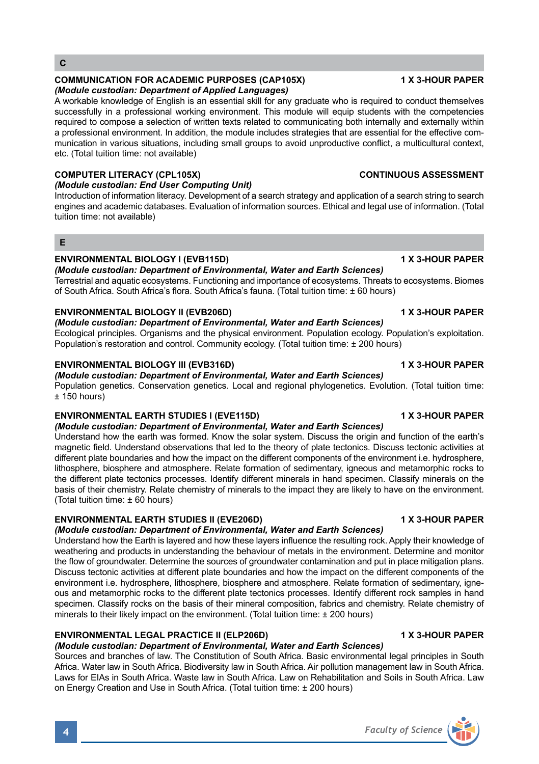**E**

**C**

## **ENVIRONMENTAL BIOLOGY I (EVB115D) 1 X 3-HOUR PAPER**

*(Module custodian: End User Computing Unit)* 

etc. (Total tuition time: not available)

tuition time: not available)

*(Module custodian: Department of Applied Languages)* 

*(Module custodian: Department of Environmental, Water and Earth Sciences)*

Terrestrial and aquatic ecosystems. Functioning and importance of ecosystems. Threats to ecosystems. Biomes of South Africa. South Africa's flora. South Africa's fauna. (Total tuition time: ± 60 hours)

A workable knowledge of English is an essential skill for any graduate who is required to conduct themselves successfully in a professional working environment. This module will equip students with the competencies required to compose a selection of written texts related to communicating both internally and externally within a professional environment. In addition, the module includes strategies that are essential for the effective communication in various situations, including small groups to avoid unproductive conflict, a multicultural context,

**COMPUTER LITERACY (CPL105X) CONTINUOUS ASSESSMENT**

## **ENVIRONMENTAL BIOLOGY II (EVB206D) 1 X 3-HOUR PAPER**

## *(Module custodian: Department of Environmental, Water and Earth Sciences)*

Ecological principles. Organisms and the physical environment. Population ecology. Population's exploitation. Population's restoration and control. Community ecology. (Total tuition time: ± 200 hours)

### **ENVIRONMENTAL BIOLOGY III (EVB316D)** 1 X 3-HOUR PAPER

## *(Module custodian: Department of Environmental, Water and Earth Sciences)*

Population genetics. Conservation genetics. Local and regional phylogenetics. Evolution. (Total tuition time:  $± 150$  hours)

#### **ENVIRONMENTAL EARTH STUDIES I (EVE115D) 1 X 3-HOUR PAPER** *(Module custodian: Department of Environmental, Water and Earth Sciences)*

Understand how the earth was formed. Know the solar system. Discuss the origin and function of the earth's magnetic field. Understand observations that led to the theory of plate tectonics. Discuss tectonic activities at different plate boundaries and how the impact on the different components of the environment i.e. hydrosphere, lithosphere, biosphere and atmosphere. Relate formation of sedimentary, igneous and metamorphic rocks to the different plate tectonics processes. Identify different minerals in hand specimen. Classify minerals on the basis of their chemistry. Relate chemistry of minerals to the impact they are likely to have on the environment. (Total tuition time: ± 60 hours)

#### **ENVIRONMENTAL EARTH STUDIES II (EVE206D) 1 X 3-HOUR PAPER**

*(Module custodian: Department of Environmental, Water and Earth Sciences)*

Understand how the Earth is layered and how these layers influence the resulting rock. Apply their knowledge of weathering and products in understanding the behaviour of metals in the environment. Determine and monitor the flow of groundwater. Determine the sources of groundwater contamination and put in place mitigation plans. Discuss tectonic activities at different plate boundaries and how the impact on the different components of the environment i.e. hydrosphere, lithosphere, biosphere and atmosphere. Relate formation of sedimentary, igneous and metamorphic rocks to the different plate tectonics processes. Identify different rock samples in hand specimen. Classify rocks on the basis of their mineral composition, fabrics and chemistry. Relate chemistry of minerals to their likely impact on the environment. (Total tuition time: ± 200 hours)

## **ENVIRONMENTAL LEGAL PRACTICE II (ELP206D) 1 X 3-HOUR PAPER**

## *(Module custodian: Department of Environmental, Water and Earth Sciences)*

Sources and branches of law. The Constitution of South Africa. Basic environmental legal principles in South Africa. Water law in South Africa. Biodiversity law in South Africa. Air pollution management law in South Africa. Laws for EIAs in South Africa. Waste law in South Africa. Law on Rehabilitation and Soils in South Africa. Law on Energy Creation and Use in South Africa. (Total tuition time: ± 200 hours)

#### Introduction of information literacy. Development of a search strategy and application of a search string to search engines and academic databases. Evaluation of information sources. Ethical and legal use of information. (Total



## **COMMUNICATION FOR ACADEMIC PURPOSES (CAP105X) 1 X 3-HOUR PAPER**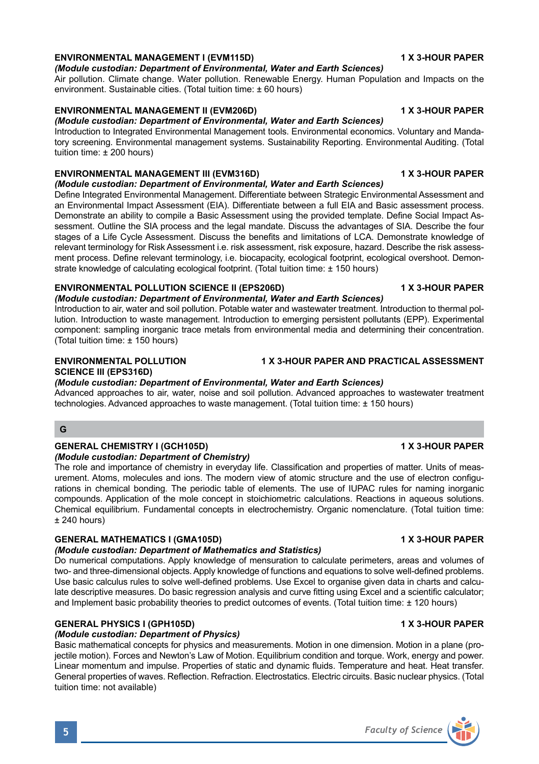## **ENVIRONMENTAL MANAGEMENT I (EVM115D) 1 X 3-HOUR PAPER**

## *(Module custodian: Department of Environmental, Water and Earth Sciences)*

Air pollution. Climate change. Water pollution. Renewable Energy. Human Population and Impacts on the environment. Sustainable cities. (Total tuition time: ± 60 hours)

## **ENVIRONMENTAL MANAGEMENT II (EVM206D) 1 X 3-HOUR PAPER**

## *(Module custodian: Department of Environmental, Water and Earth Sciences)*

Introduction to Integrated Environmental Management tools. Environmental economics. Voluntary and Mandatory screening. Environmental management systems. Sustainability Reporting. Environmental Auditing. (Total tuition time: ± 200 hours)

## **ENVIRONMENTAL MANAGEMENT III (EVM316D) 1 X 3-HOUR PAPER**

## *(Module custodian: Department of Environmental, Water and Earth Sciences)*

Define Integrated Environmental Management. Differentiate between Strategic Environmental Assessment and an Environmental Impact Assessment (EIA). Differentiate between a full EIA and Basic assessment process. Demonstrate an ability to compile a Basic Assessment using the provided template. Define Social Impact Assessment. Outline the SIA process and the legal mandate. Discuss the advantages of SIA. Describe the four stages of a Life Cycle Assessment. Discuss the benefits and limitations of LCA. Demonstrate knowledge of relevant terminology for Risk Assessment i.e. risk assessment, risk exposure, hazard. Describe the risk assessment process. Define relevant terminology, i.e. biocapacity, ecological footprint, ecological overshoot. Demonstrate knowledge of calculating ecological footprint. (Total tuition time: ± 150 hours)

## **ENVIRONMENTAL POLLUTION SCIENCE II (EPS206D) 1 X 3-HOUR PAPER**

## *(Module custodian: Department of Environmental, Water and Earth Sciences)*

Introduction to air, water and soil pollution. Potable water and wastewater treatment. Introduction to thermal pollution. Introduction to waste management. Introduction to emerging persistent pollutants (EPP). Experimental component: sampling inorganic trace metals from environmental media and determining their concentration. (Total tuition time: ± 150 hours)

# **SCIENCE III (EPS316D)**

## *(Module custodian: Department of Environmental, Water and Earth Sciences)*

Advanced approaches to air, water, noise and soil pollution. Advanced approaches to wastewater treatment technologies. Advanced approaches to waste management. (Total tuition time: ± 150 hours)

## **G**

## **GENERAL CHEMISTRY I (GCH105D) 1 X 3-HOUR PAPER**

### *(Module custodian: Department of Chemistry)*

The role and importance of chemistry in everyday life. Classification and properties of matter. Units of measurement. Atoms, molecules and ions. The modern view of atomic structure and the use of electron configurations in chemical bonding. The periodic table of elements. The use of IUPAC rules for naming inorganic compounds. Application of the mole concept in stoichiometric calculations. Reactions in aqueous solutions. Chemical equilibrium. Fundamental concepts in electrochemistry. Organic nomenclature. (Total tuition time:  $± 240$  hours)

## GENERAL MATHEMATICS I (GMA105D) **1 ACCULATE 1 ACCULATE 1 ACCULATE 1 X 3-HOUR PAPER**

### *(Module custodian: Department of Mathematics and Statistics)*

Do numerical computations. Apply knowledge of mensuration to calculate perimeters, areas and volumes of two- and three-dimensional objects. Apply knowledge of functions and equations to solve well-defined problems. Use basic calculus rules to solve well-defined problems. Use Excel to organise given data in charts and calculate descriptive measures. Do basic regression analysis and curve fitting using Excel and a scientific calculator; and Implement basic probability theories to predict outcomes of events. (Total tuition time: ± 120 hours)

## **GENERAL PHYSICS I (GPH105D) 1 X 3-HOUR PAPER**

## *(Module custodian: Department of Physics)*

Basic mathematical concepts for physics and measurements. Motion in one dimension. Motion in a plane (projectile motion). Forces and Newton's Law of Motion. Equilibrium condition and torque. Work, energy and power. Linear momentum and impulse. Properties of static and dynamic fluids. Temperature and heat. Heat transfer. General properties of waves. Reflection. Refraction. Electrostatics. Electric circuits. Basic nuclear physics. (Total tuition time: not available)

## **ENVIRONMENTAL POLLUTION 1 X 3-HOUR PAPER AND PRACTICAL ASSESSMENT**